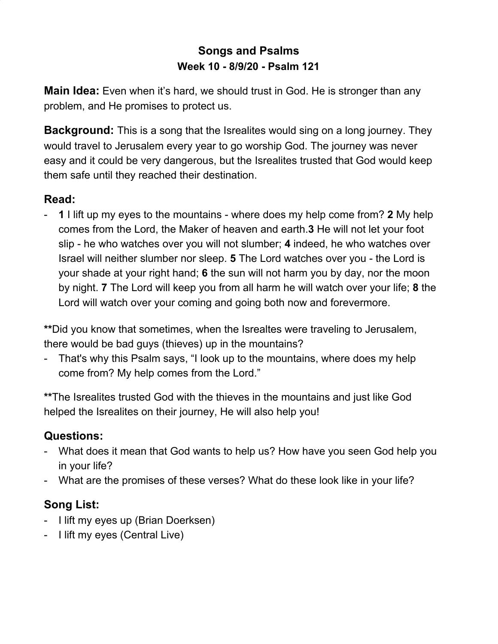## **Songs and Psalms Week 10 - 8/9/20 - Psalm 121**

**Main Idea:** Even when it's hard, we should trust in God. He is stronger than any problem, and He promises to protect us.

**Background:** This is a song that the Isrealites would sing on a long journey. They would travel to Jerusalem every year to go worship God. The journey was never easy and it could be very dangerous, but the Isrealites trusted that God would keep them safe until they reached their destination.

## **Read:**

- **1** I lift up my eyes to the mountains - where does my help come from? **2** My help comes from the Lord, the Maker of heaven and earth.**3** He will not let your foot slip - he who watches over you will not slumber; **4** indeed, he who watches over Israel will neither slumber nor sleep. **5** The Lord watches over you - the Lord is your shade at your right hand; **6** the sun will not harm you by day, nor the moon by night. **7** The Lord will keep you from all harm he will watch over your life; **8** the Lord will watch over your coming and going both now and forevermore.

**\*\***Did you know that sometimes, when the Isrealtes were traveling to Jerusalem, there would be bad guys (thieves) up in the mountains?

- That's why this Psalm says, "I look up to the mountains, where does my help come from? My help comes from the Lord."

**\*\***The Isrealites trusted God with the thieves in the mountains and just like God helped the Isrealites on their journey, He will also help you!

## **Questions:**

- What does it mean that God wants to help us? How have you seen God help you in your life?
- What are the promises of these verses? What do these look like in your life?

## **Song List:**

- I lift my eyes up (Brian Doerksen)
- I lift my eyes (Central Live)